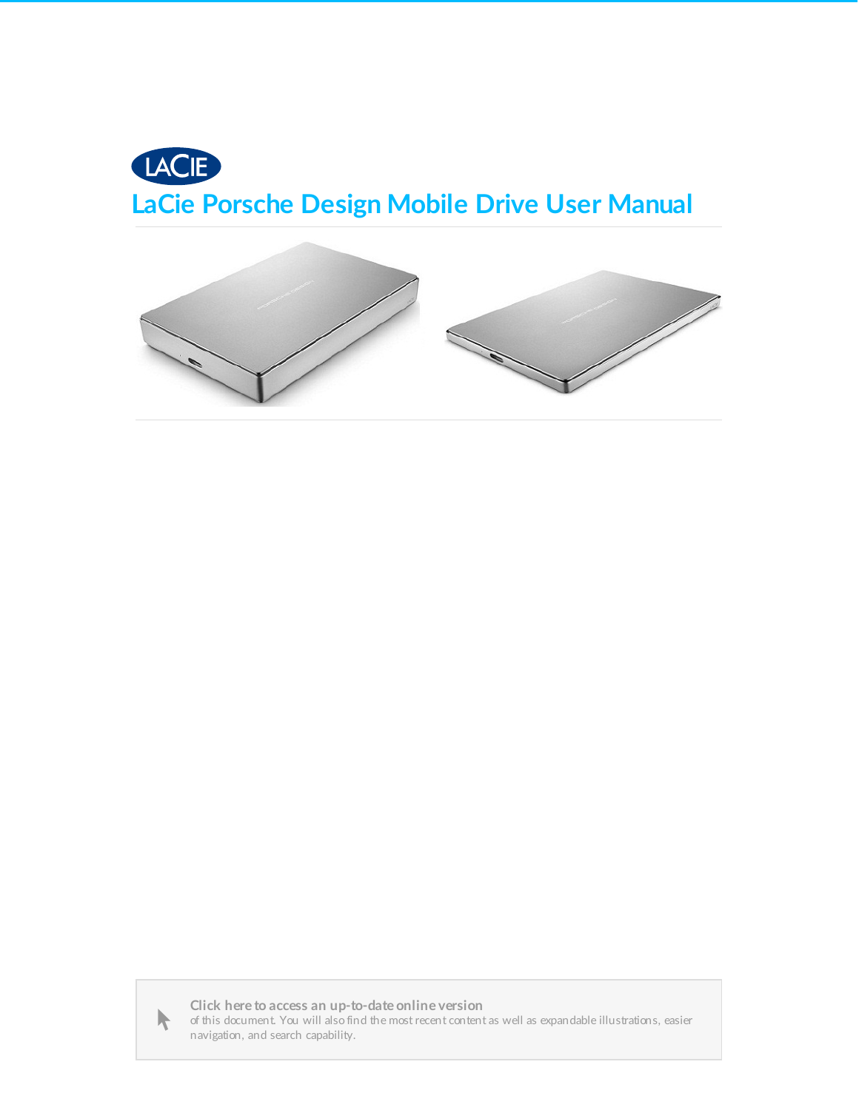





Click here to access an [up-to-date](http://www.seagate.com/manuals/porsche-mobile) online version<br>of this document. You will also find the most recent content as well as expandable illustrations, easier<br>navigation, and search capability.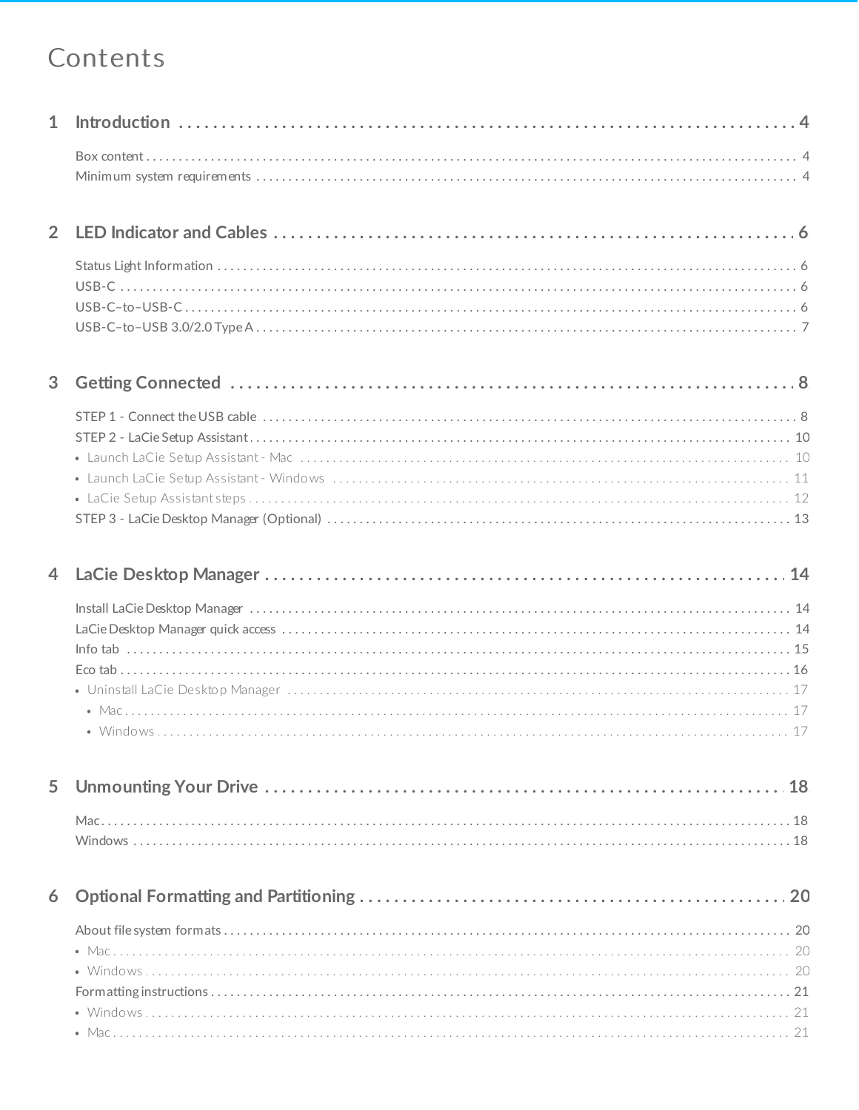#### Contents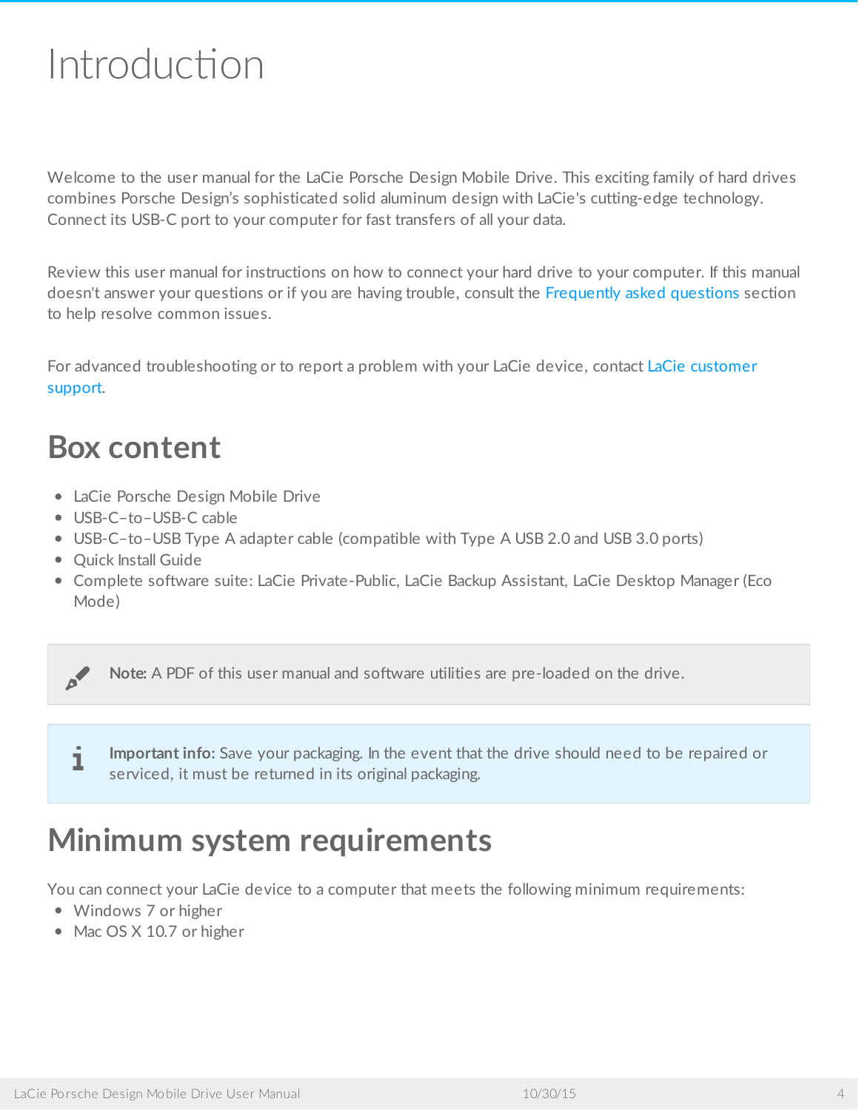# <span id="page-3-0"></span>Introduction

Welcome to the user manual for the LaCie Porsche Design Mobile Drive. This exciting family of hard drives combines Porsche Design's sophisticated solid aluminum design with LaCie's cutting-edge technology. Connect its USB-C port to your computer for fast transfers of all your data.

Review this user manual for instructions on how to connect your hard drive to your computer. If this manual doesn't answer your questions or if you are having trouble, consult the [Frequently](http://www.lacie.com/manuals/porsche-mobile/frequently-asked-questions/) asked questions section to help resolve common issues.

For advanced [troubleshooting](http://www.lacie.com/support/) or to report a problem with your LaCie device, contact LaCie customer support.

### <span id="page-3-1"></span>**Box content**

- LaCie Porsche Design Mobile Drive
- USB-C-to-USB-C cable
- USB-C–to–USB Type A adapter cable (compatible with Type A USB 2.0 and USB 3.0 ports)
- Quick Install Guide
- Complete software suite: LaCie Private-Public, LaCie Backup Assistant, LaCie Desktop Manager (Eco Mode)

Note: A PDF of this user manual and software utilities are pre-loaded on the drive.

**I** Important info: Save your packaging. In the event that the drive should need to be repaired or serviced, it must be returned in its original packaging.

### <span id="page-3-2"></span>**Minimum system requirements**

You can connect your LaCie device to a computer that meets the following minimum requirements:

- Windows 7 or higher
- Mac OS X 10.7 or higher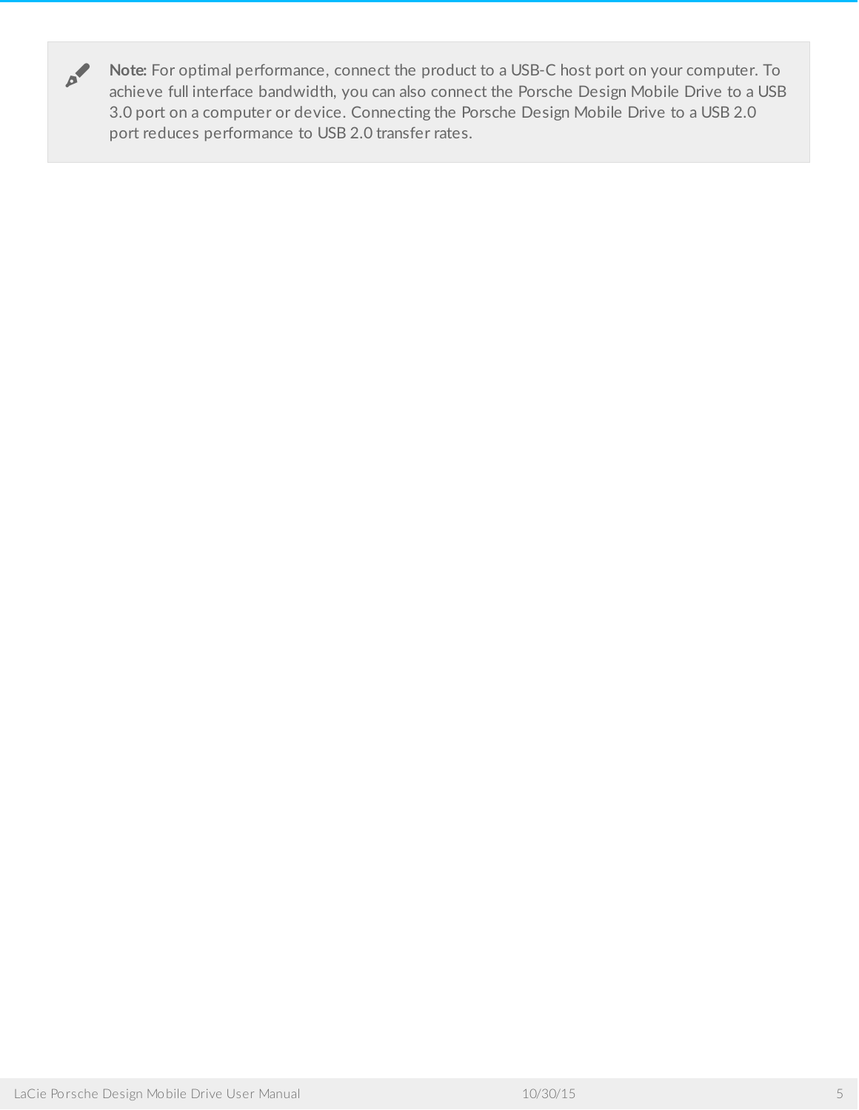

**Note:** For optimal performance, connect the product to a USB-C host port on your computer. To achieve full interface bandwidth, you can also connect the Porsche Design Mobile Drive to a USB 3.0 port on a computer or device. Connecting the Porsche Design Mobile Drive to a USB 2.0 port reduces performance to USB 2.0 transfer rates.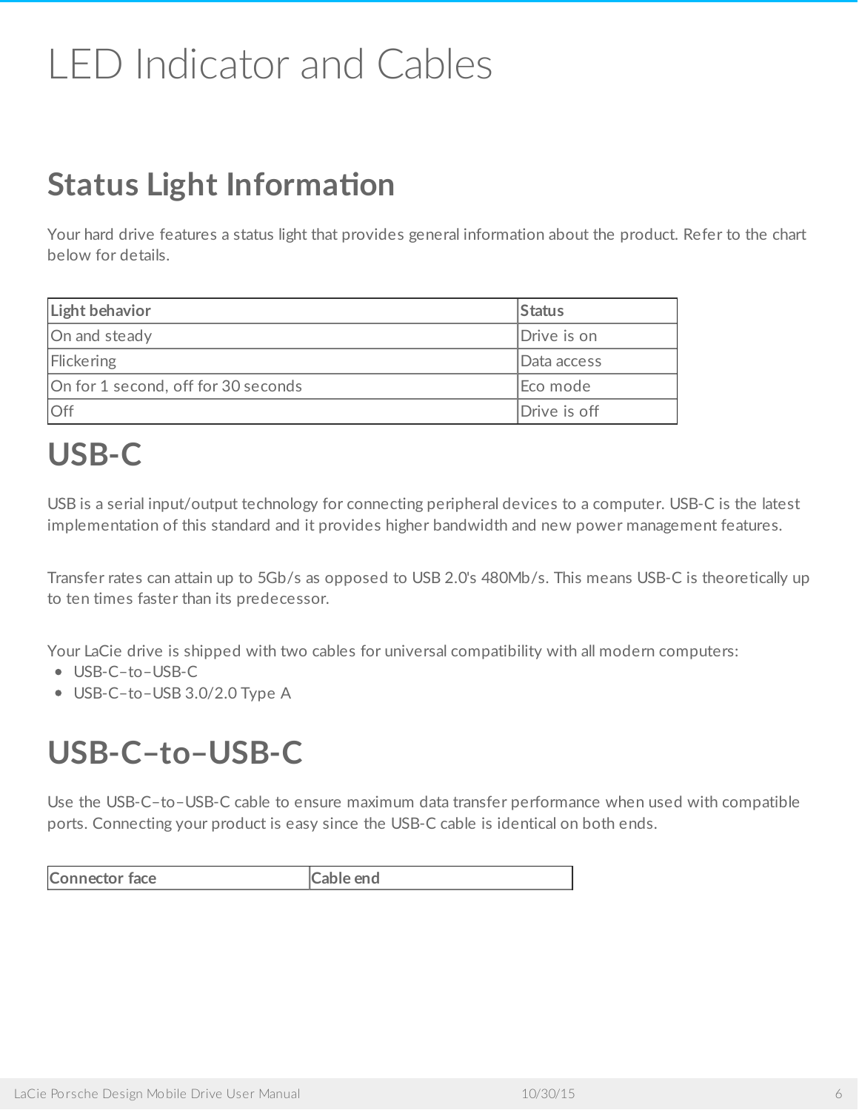# <span id="page-5-0"></span>LED Indicator and Cables

## <span id="page-5-1"></span>**Status Light Information**

Your hard drive features a status light that provides general information about the product. Refer to the chart below for details.

| Light behavior                      | <b>Status</b>    |
|-------------------------------------|------------------|
| On and steady                       | Drive is on      |
| Flickering                          | Data access      |
| On for 1 second, off for 30 seconds | <b>IEco mode</b> |
| <b>IOff</b>                         | Drive is off     |

# <span id="page-5-2"></span>**USB-C**

USB is a serial input/output technology for connecting peripheral devices to a computer. USB-C is the latest implementation of this standard and it provides higher bandwidth and new power management features.

Transfer rates can attain up to 5Gb/s as opposed to USB 2.0's 480Mb/s. This means USB-C is theoretically up to ten times faster than its predecessor.

Your LaCie drive is shipped with two cables for universal compatibility with all modern computers:

- USB-C–to–USB-C
- USB-C–to–USB 3.0/2.0 Type A

## <span id="page-5-3"></span>**USB-C–to–USB-C**

Use the USB-C–to–USB-C cable to ensure maximum data transfer performance when used with compatible ports. Connecting your product is easy since the USB-C cable is identical on both ends.

| $ C_0$        | ena  |
|---------------|------|
| onnector face | ∿dL. |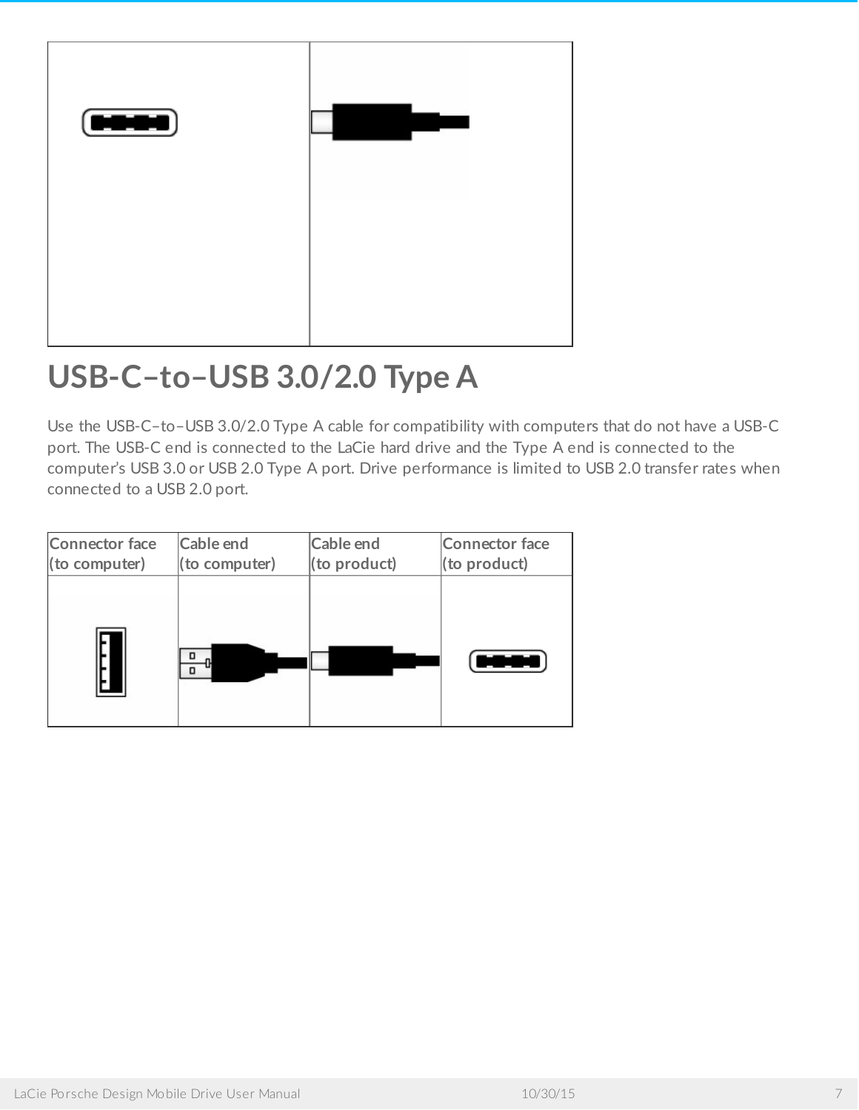

# <span id="page-6-0"></span>**USB-C–to–USB 3.0/2.0 Type A**

Use the USB-C–to–USB 3.0/2.0 Type A cable for compatibility with computers that do not have a USB-C port. The USB-C end is connected to the LaCie hard drive and the Type A end is connected to the computer's USB 3.0 or USB 2.0 Type A port. Drive performance is limited to USB 2.0 transfer rates when connected to a USB 2.0 port.

| Connector face | Cable end     | <b>Cable end</b> | Connector face |
|----------------|---------------|------------------|----------------|
| (to computer)  | (to computer) | (to product)     | (to product)   |
|                | п             |                  |                |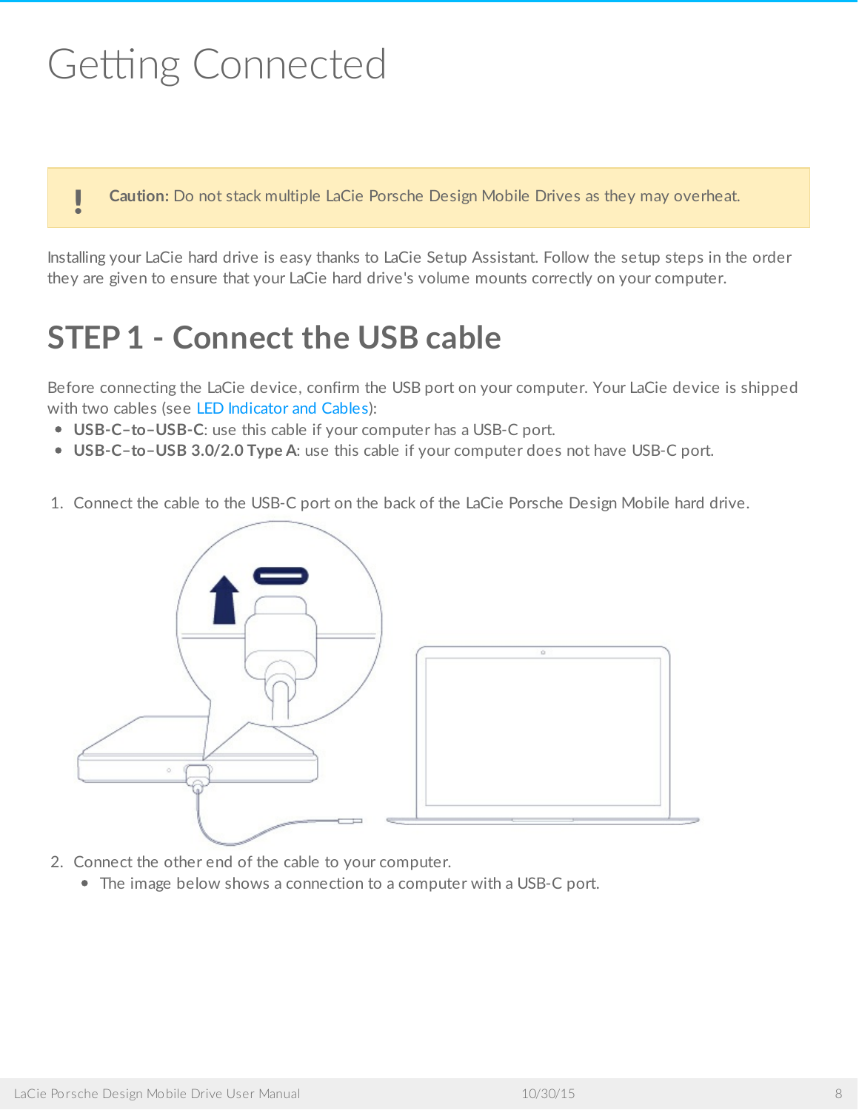# <span id="page-7-0"></span>Getting Connected

**Caution:** Do not stack multiple LaCie Porsche Design Mobile Drives as they may overheat.

Installing your LaCie hard drive is easy thanks to LaCie Setup Assistant. Follow the setup steps in the order they are given to ensure that your LaCie hard drive's volume mounts correctly on your computer.

# <span id="page-7-1"></span>**STEP 1 - Connect the USB cable**

Before connecting the LaCie device, confirm the USB port on your computer. Your LaCie device is shipped with two cables (see LED [Indicator](http://www.lacie.com/manuals/porsche-mobile/led-indicator-cables/) and Cables):

- **USB-C–to–USB-C**: use this cable if your computer has a USB-C port.
- **USB-C–to–USB 3.0/2.0 Type A**: use this cable if your computer does not have USB-C port.
- 1. Connect the cable to the USB-C port on the back of the LaCie Porsche Design Mobile hard drive.



- 2. Connect the other end of the cable to your computer.
	- The image below shows a connection to a computer with a USB-C port.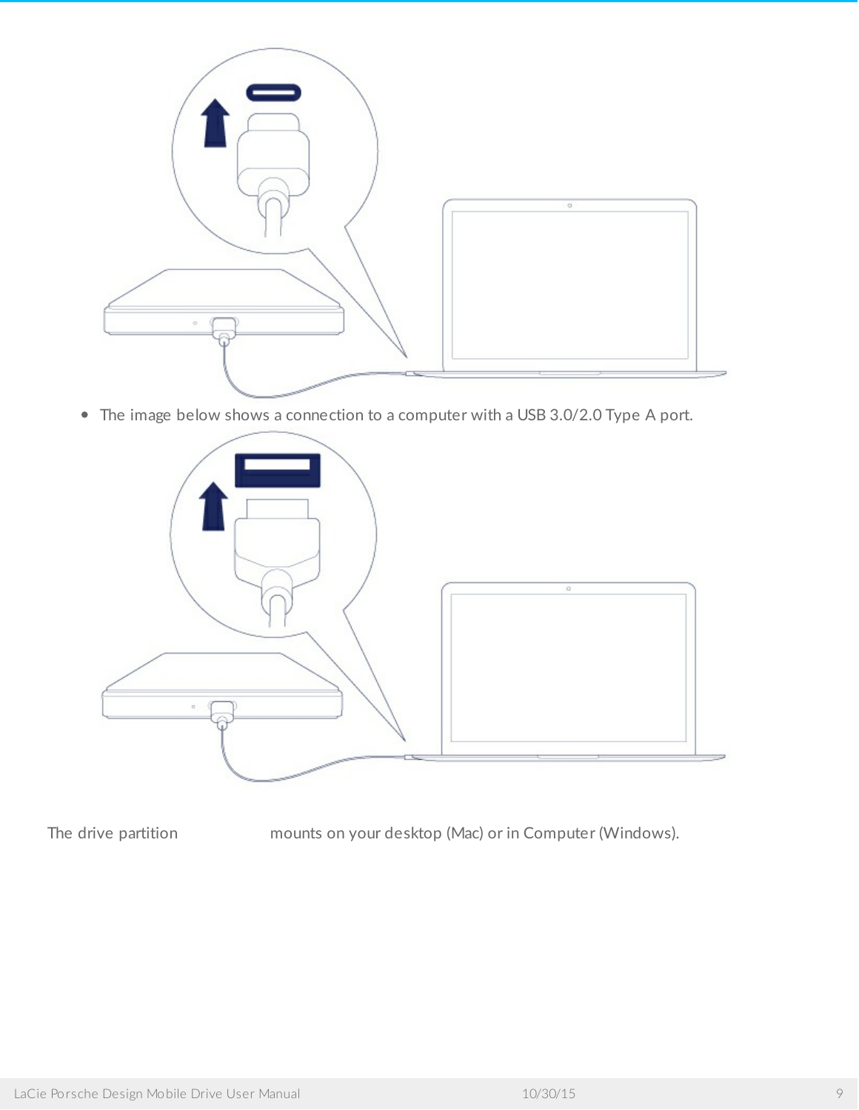

The image below shows a connection to a computer with a USB 3.0/2.0 Type A port.



The drive partition mounts on your desktop (Mac) or in Computer (Windows).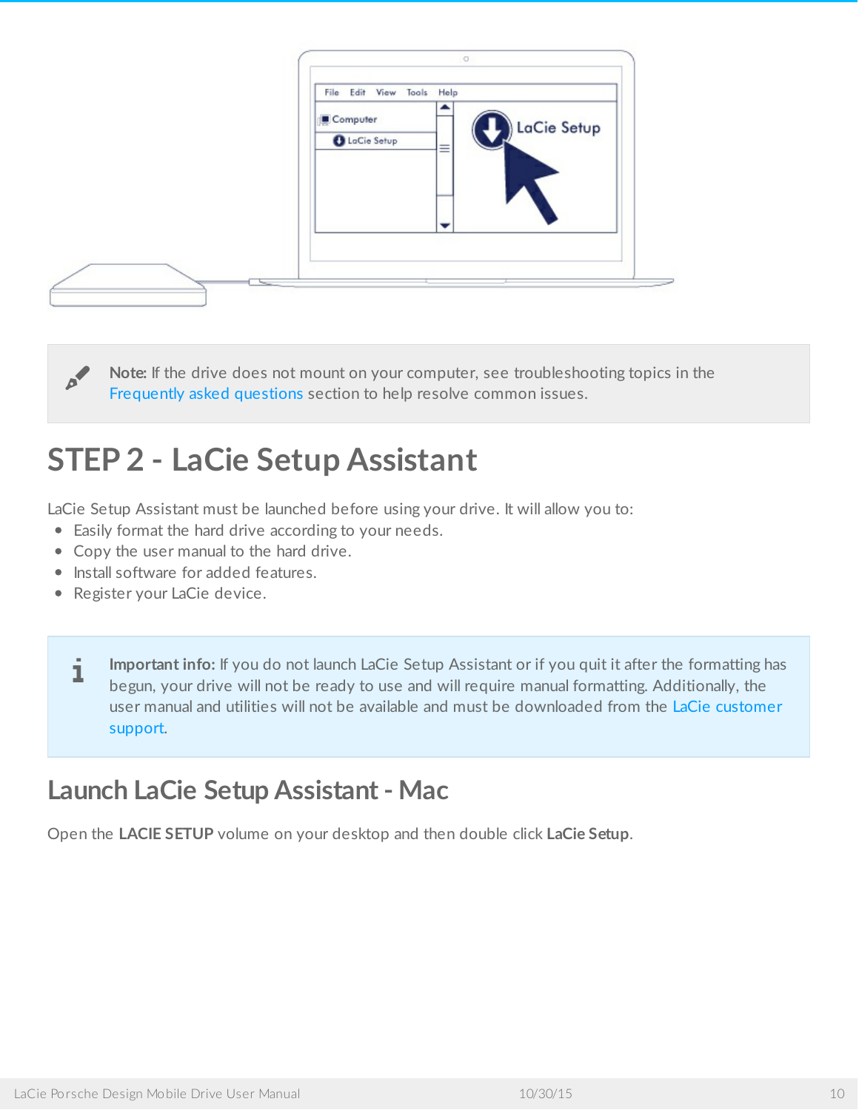

**Note:** If the drive does not mount on your computer, see troubleshooting topics in the [Frequently](http://www.lacie.com/manuals/porsche-mobile/frequently-asked-questions/) asked questions section to help resolve common issues.

# <span id="page-9-0"></span>**STEP 2 - LaCie Setup Assistant**

LaCie Setup Assistant must be launched before using your drive. It will allow you to:

- Easily format the hard drive according to your needs.
- Copy the user manual to the hard drive.
- Install software for added features.
- Register your LaCie device.

**Important info:** If you do not launch LaCie Setup Assistant or if you quit it after the formatting has begun, your drive will not be ready to use and will require manual formatting. Additionally, the user manual and utilities will not be available and must be [downloaded](http://www.lacie.com/support) from the LaCie customer support. i

#### <span id="page-9-1"></span>**Launch LaCie Setup Assistant - Mac**

Open the **LACIE SETUP** volume on your desktop and then double click **LaCie Setup**.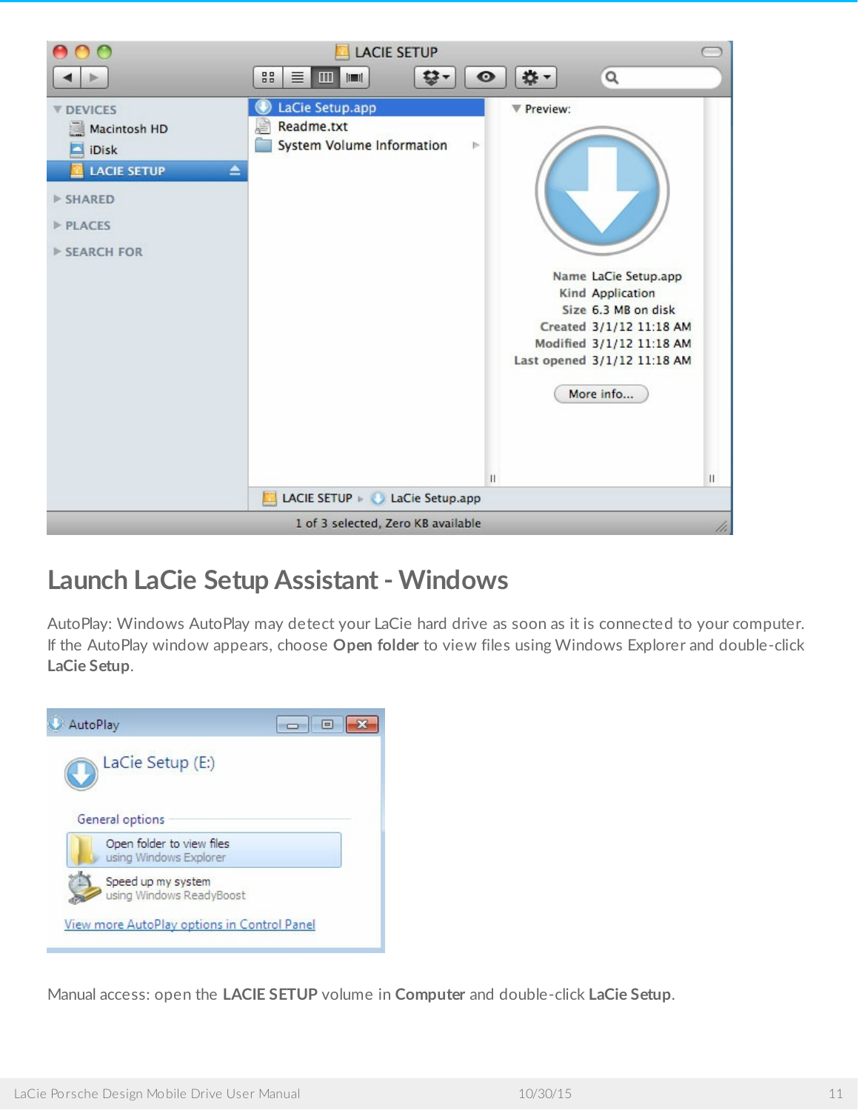

#### <span id="page-10-0"></span>**Launch LaCie Setup Assistant - Windows**

AutoPlay: Windows AutoPlay may detect your LaCie hard drive as soon as it is connected to your computer. If the AutoPlay window appears, choose **Open folder** to view files using Windows Explorer and double-click **LaCie Setup**.



Manual access: open the **LACIE SETUP** volume in **Computer** and double-click **LaCie Setup**.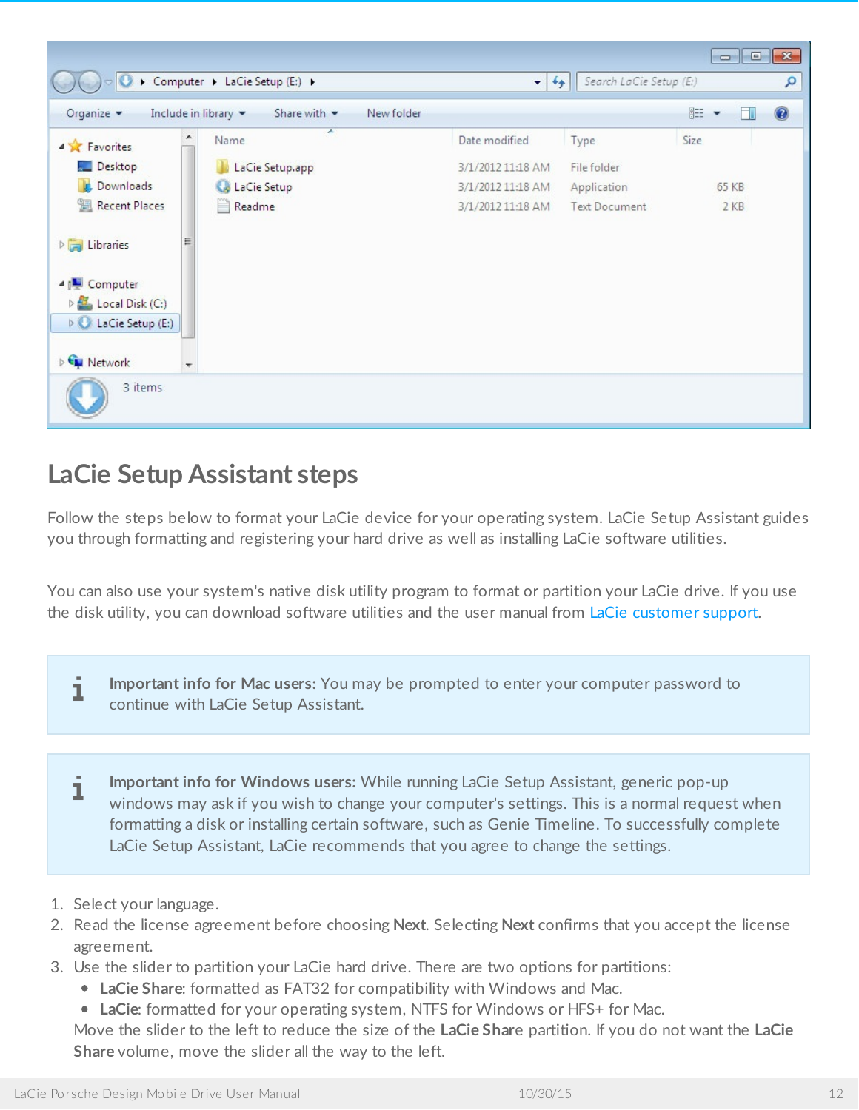|                                                                                                                                    |                                               |                                 |                         | $\Box$ $\Box$      |
|------------------------------------------------------------------------------------------------------------------------------------|-----------------------------------------------|---------------------------------|-------------------------|--------------------|
| $\mathbf C$                                                                                                                        | ▶ Computer ▶ LaCie Setup (E:) ▶               | 4 <sub>f</sub><br>$\frac{1}{2}$ | Search LaCie Setup (E:) | ٩                  |
| Organize v<br>Include in library $\blacktriangledown$                                                                              | Share with $\blacktriangledown$<br>New folder |                                 |                         | 0<br>臣 -<br>$\Box$ |
| 4 Tr Favorites                                                                                                                     | ۰<br>Name:                                    | Date modified                   | Type                    | Size               |
| Desktop                                                                                                                            | LaCie Setup.app                               | 3/1/2012 11:18 AM               | File folder             |                    |
| <b>Downloads</b>                                                                                                                   | LaCie Setup                                   | 3/1/2012 11:18 AM               | Application             | 65 KB              |
| Recent Places                                                                                                                      | Readme<br>P                                   | 3/1/2012 11:18 AM               | <b>Text Document</b>    | 2KB                |
| Ξ<br><b>Departures</b><br>4 <sup>1</sup> Computer<br>$\triangleright$ $\frac{M}{\sqrt{2}}$ , Local Disk (C:)<br>D LaCie Setup (E:) |                                               |                                 |                         |                    |
| <b>Network</b><br>$\overline{\phantom{a}}$                                                                                         |                                               |                                 |                         |                    |
| 3 items                                                                                                                            |                                               |                                 |                         |                    |

#### <span id="page-11-0"></span>**LaCie Setup Assistant steps**

Follow the steps below to format your LaCie device for your operating system. LaCie Setup Assistant guides you through formatting and registering your hard drive as well as installing LaCie software utilities.

You can also use your system's native disk utility program to format or partition your LaCie drive. If you use the disk utility, you can download software utilities and the user manual from LaCie [customer](http://www.lacie.com/support) support.

- **I** Important info for Mac users: You may be prompted to enter your computer password to continue with LaCie Setup Assistant.
- **Important info for Windows users:** While running LaCie Setup Assistant, generic pop-up windows may ask if you wish to change your computer's settings. This is a normal request when formatting a disk or installing certain software, such as Genie Timeline. To successfully complete LaCie Setup Assistant, LaCie recommends that you agree to change the settings. i
- 1. Select your language.
- 2. Read the license agreement before choosing **Next**. Selecting **Next** confirms that you accept the license agreement.
- 3. Use the slider to partition your LaCie hard drive. There are two options for partitions:
	- **LaCie Share**: formatted as FAT32 for compatibility with Windows and Mac.
	- **LaCie**: formatted for your operating system, NTFS for Windows or HFS+ for Mac.

Move the slider to the left to reduce the size of the **LaCie Shar**e partition. If you do not want the **LaCie Share** volume, move the slider all the way to the left.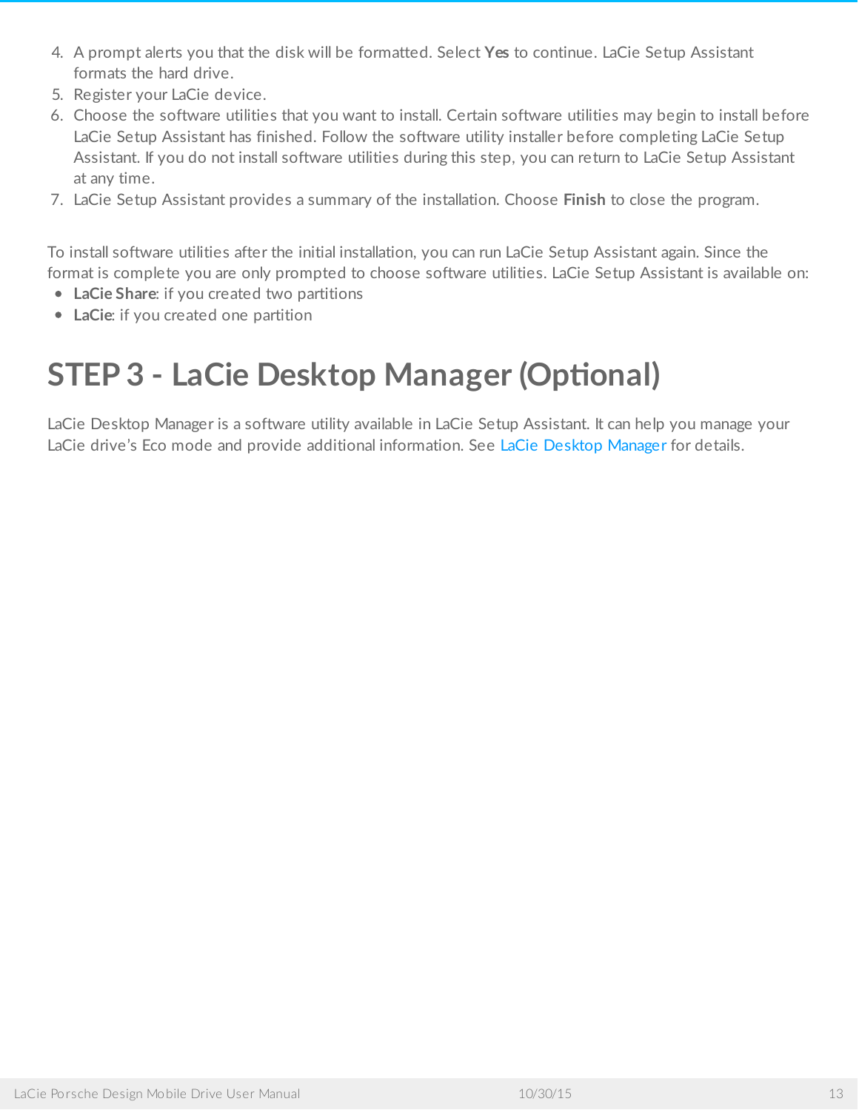- 4. A prompt alerts you that the disk will be formatted. Select **Yes** to continue. LaCie Setup Assistant formats the hard drive.
- 5. Register your LaCie device.
- 6. Choose the software utilities that you want to install. Certain software utilities may begin to install before LaCie Setup Assistant has finished. Follow the software utility installer before completing LaCie Setup Assistant. If you do not install software utilities during this step, you can return to LaCie Setup Assistant at any time.
- 7. LaCie Setup Assistant provides a summary of the installation. Choose **Finish** to close the program.

To install software utilities after the initial installation, you can run LaCie Setup Assistant again. Since the format is complete you are only prompted to choose software utilities. LaCie Setup Assistant is available on:

- **LaCie Share**: if you created two partitions
- **LaCie**: if you created one partition

# <span id="page-12-0"></span>**STEP 3 - LaCie Desktop Manager (Optional)**

LaCie Desktop Manager is a software utility available in LaCie Setup Assistant. It can help you manage your LaCie drive's Eco mode and provide additional information. See LaCie [Desktop](http://www.lacie.com/manuals/porsche-mobile/lacie-desktop-manager/) Manager for details.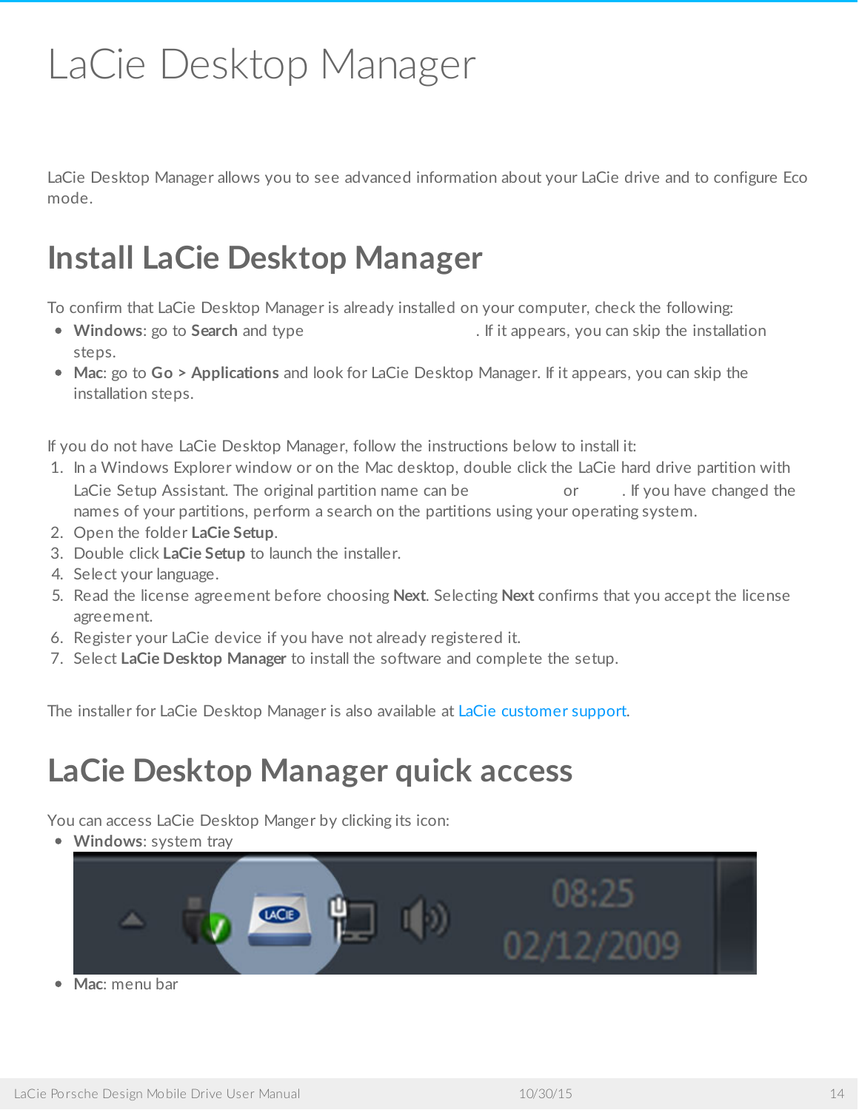# <span id="page-13-0"></span>LaCie Desktop Manager

LaCie Desktop Manager allows you to see advanced information about your LaCie drive and to configure Eco mode.

# <span id="page-13-1"></span>**Install LaCie Desktop Manager**

To confirm that LaCie Desktop Manager is already installed on your computer, check the following:

- Windows: go to Search and type **.** If it appears, you can skip the installation steps.
- **Mac**: go to **Go > Applications** and look for LaCie Desktop Manager. If it appears, you can skip the installation steps.

If you do not have LaCie Desktop Manager, follow the instructions below to install it:

- 1. In a Windows Explorer window or on the Mac desktop, double click the LaCie hard drive partition with LaCie Setup Assistant. The original partition name can be or the set of the stanged the names of your partitions, perform a search on the partitions using your operating system.
- 2. Open the folder **LaCie Setup**.
- 3. Double click **LaCie Setup** to launch the installer.
- 4. Select your language.
- 5. Read the license agreement before choosing **Next**. Selecting **Next** confirms that you accept the license agreement.
- 6. Register your LaCie device if you have not already registered it.
- 7. Select **LaCie Desktop Manager** to install the software and complete the setup.

The installer for LaCie Desktop Manager is also available at LaCie [customer](http://www.lacie.com/support) support.

## <span id="page-13-2"></span>**LaCie Desktop Manager quick access**

You can access LaCie Desktop Manger by clicking its icon:

 $\bullet$ **Windows**: system tray



**Mac**: menu bar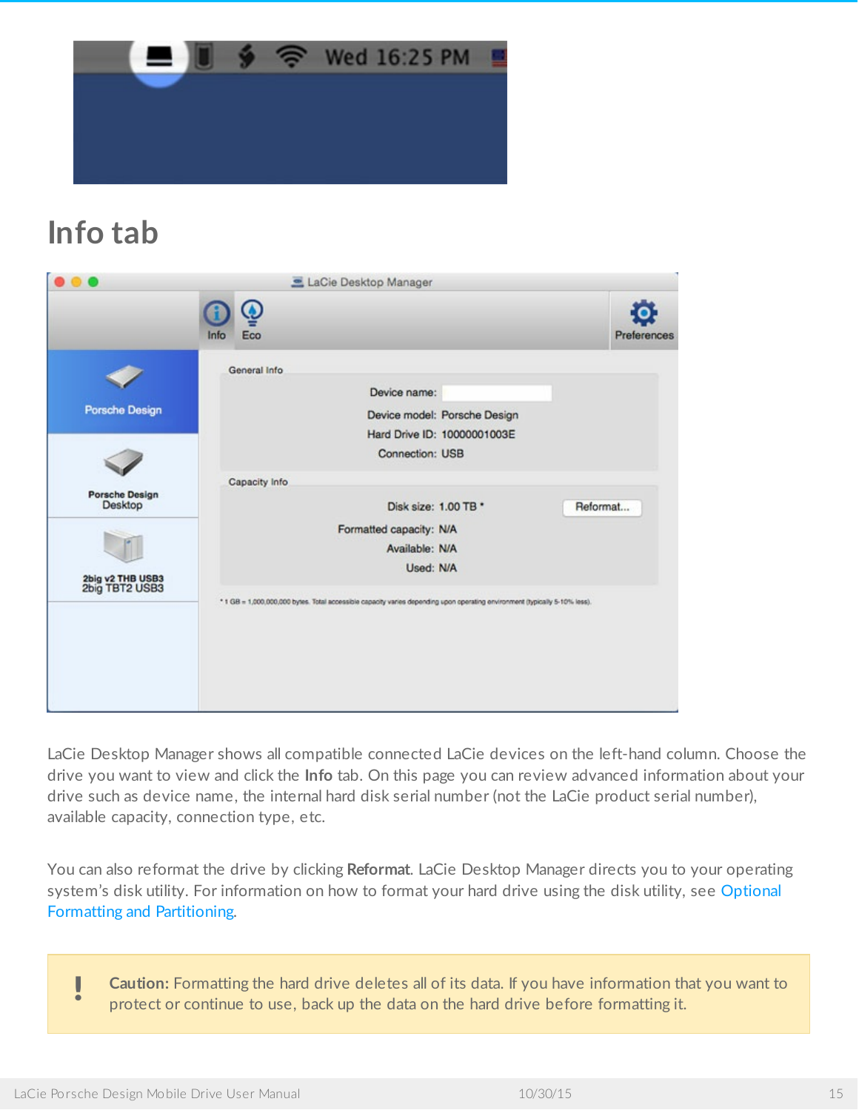

### <span id="page-14-0"></span>**Info tab**

| $\bullet$                          | - LaCie Desktop Manager                                                                                                     |                                                                                       |             |
|------------------------------------|-----------------------------------------------------------------------------------------------------------------------------|---------------------------------------------------------------------------------------|-------------|
|                                    | $\bullet$<br>Eco<br>Info                                                                                                    |                                                                                       | Preferences |
|                                    | General Info                                                                                                                | Device name:                                                                          |             |
| <b>Porsche Design</b>              |                                                                                                                             | Device model: Porsche Design<br>Hard Drive ID: 10000001003E<br><b>Connection: USB</b> |             |
| <b>Porsche Design</b><br>Desktop   | Capacity Info                                                                                                               | Disk size: 1.00 TB *                                                                  | Reformat    |
|                                    | Formatted capacity: N/A                                                                                                     | Available: N/A<br>Used: N/A                                                           |             |
| 2big v2 THB USB3<br>2big TBT2 USB3 | * 1 GB = 1,000,000,000 bytes. Total accessible capacity varies depending upon operating environment (typically 5-10% less). |                                                                                       |             |
|                                    |                                                                                                                             |                                                                                       |             |
|                                    |                                                                                                                             |                                                                                       |             |

LaCie Desktop Manager shows all compatible connected LaCie devices on the left-hand column. Choose the drive you want to view and click the **Info** tab. On this page you can review advanced information about your drive such as device name, the internal hard disk serial number (not the LaCie product serial number), available capacity, connection type, etc.

You can also reformat the drive by clicking **Reformat**. LaCie Desktop Manager directs you to your operating system's disk utility. For [information](http://www.lacie.com/manuals/porsche-mobile/optional-formatting-partitioning/) on how to format your hard drive using the disk utility, see Optional Formatting and Partitioning.

**Caution:** Formatting the hard drive deletes all of its data. If you have information that you want to protect or continue to use, back up the data on the hard drive before formatting it.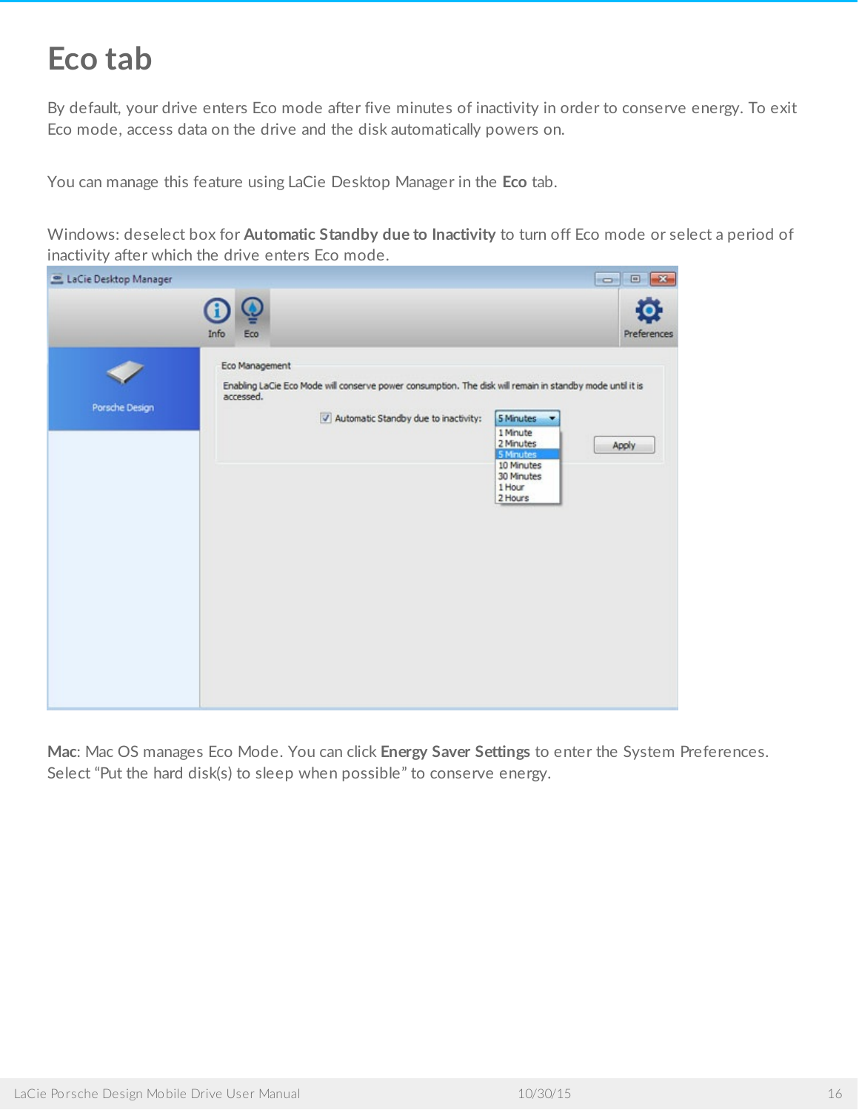### <span id="page-15-0"></span>**Eco tab**

By default, your drive enters Eco mode after five minutes of inactivity in order to conserve energy. To exit Eco mode, access data on the drive and the disk automatically powers on.

You can manage this feature using LaCie Desktop Manager in the **Eco** tab.

Windows: deselect box for **Automatic Standby due to Inactivity** to turn off Eco mode or select a period of inactivity after which the drive enters Eco mode.



**Mac**: Mac OS manages Eco Mode. You can click **Energy Saver Settings** to enter the System Preferences. Select "Put the hard disk(s) to sleep when possible" to conserve energy.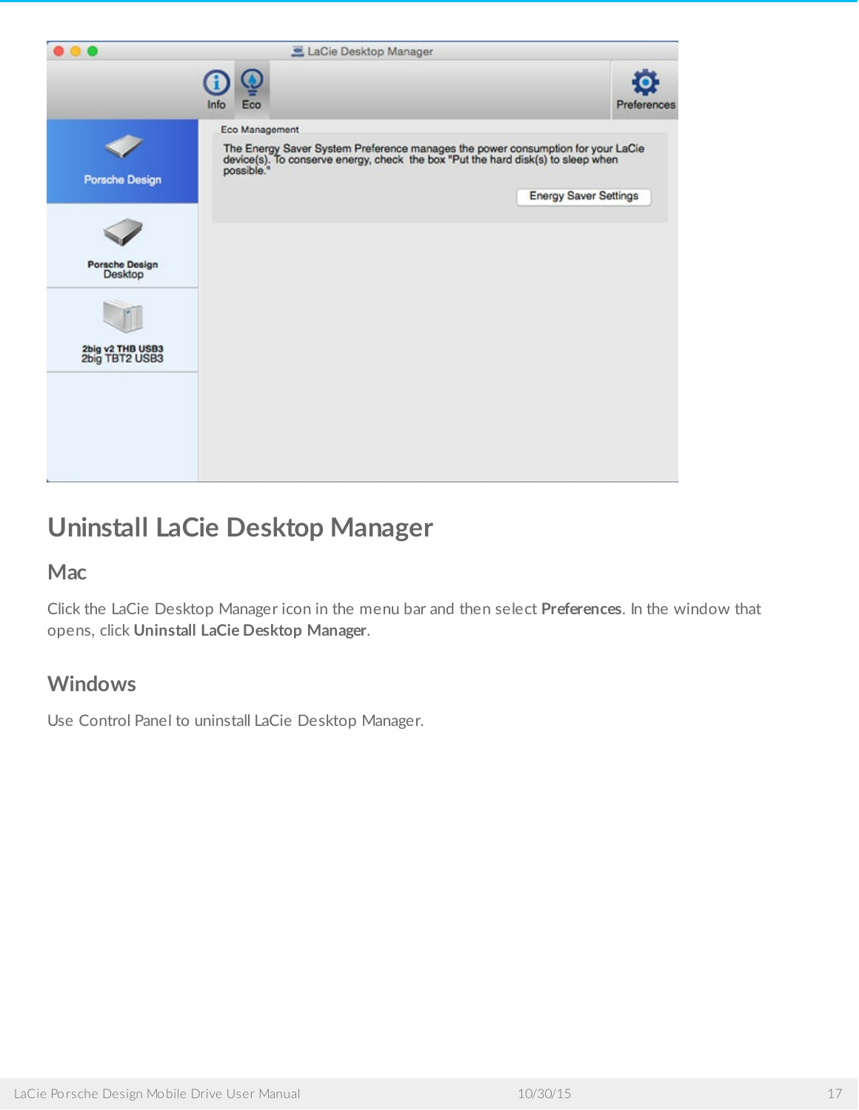

#### <span id="page-16-0"></span>**Uninstall LaCie Desktop Manager**

#### <span id="page-16-1"></span>**Mac**

Click the LaCie Desktop Manager icon in the menu bar and then select **Preferences**. In the window that opens, click **Uninstall LaCie Desktop Manager**.

#### <span id="page-16-2"></span>**Windows**

Use Control Panel to uninstall LaCie Desktop Manager.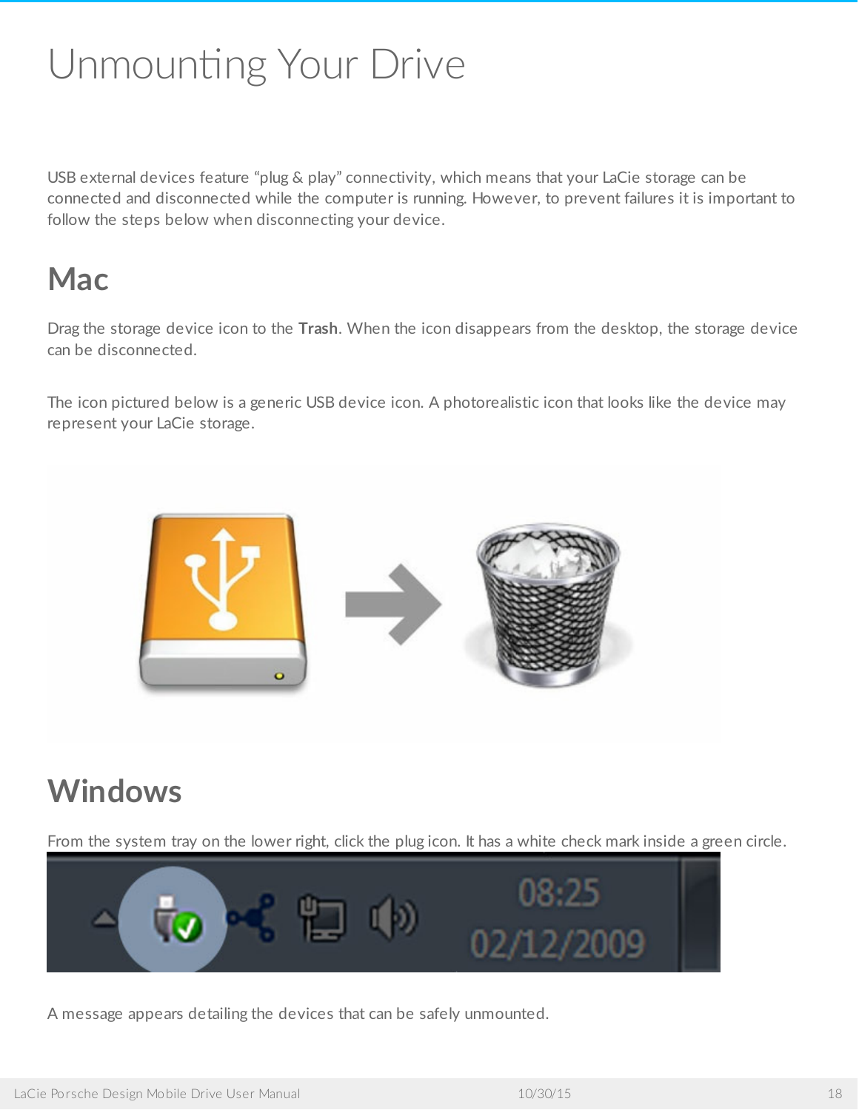# <span id="page-17-0"></span>Unmounting Your Drive

USB external devices feature "plug & play" connectivity, which means that your LaCie storage can be connected and disconnected while the computer is running. However, to prevent failures it is important to follow the steps below when disconnecting your device.

### <span id="page-17-1"></span>**Mac**

Drag the storage device icon to the **Trash**. When the icon disappears from the desktop, the storage device can be disconnected.

The icon pictured below is a generic USB device icon. A photorealistic icon that looks like the device may represent your LaCie storage.



## <span id="page-17-2"></span>**Windows**

From the system tray on the lower right, click the plug icon. It has a white check mark inside a green circle.

![](_page_17_Picture_8.jpeg)

A message appears detailing the devices that can be safely unmounted.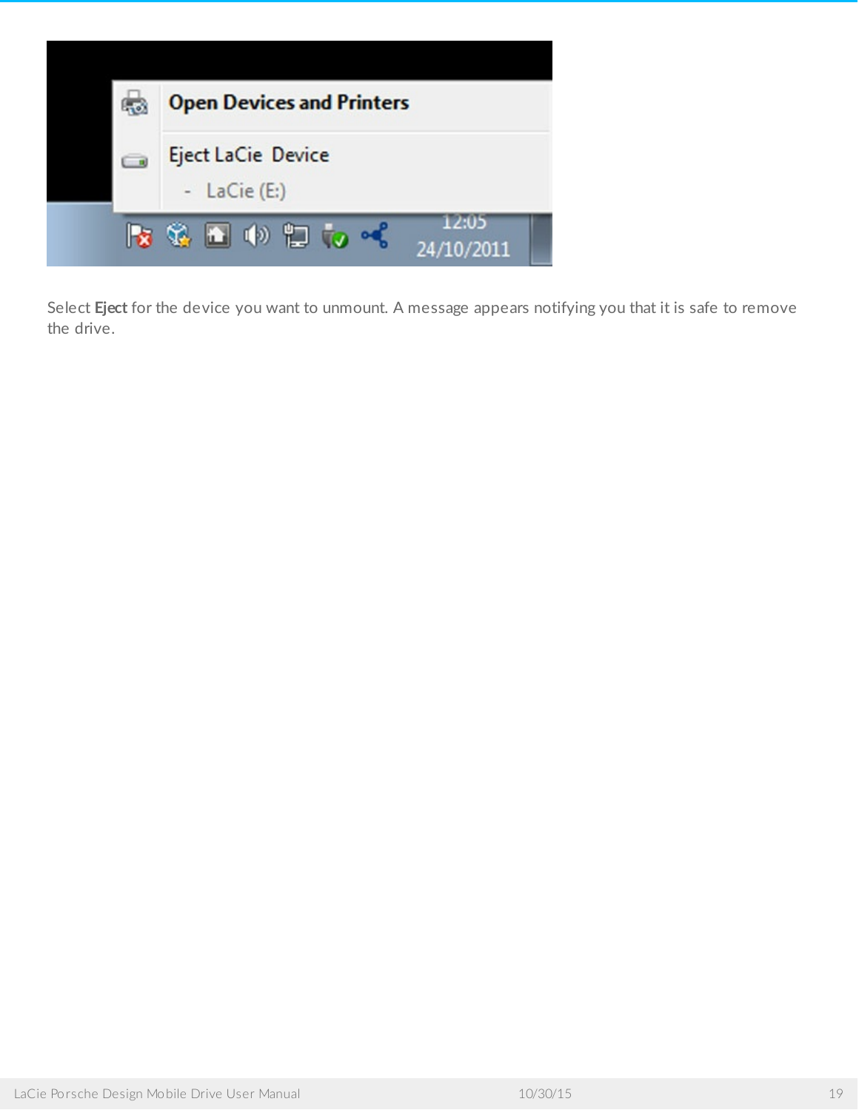![](_page_18_Picture_0.jpeg)

Select **Eject** for the device you want to unmount. A message appears notifying you that it is safe to remove the drive.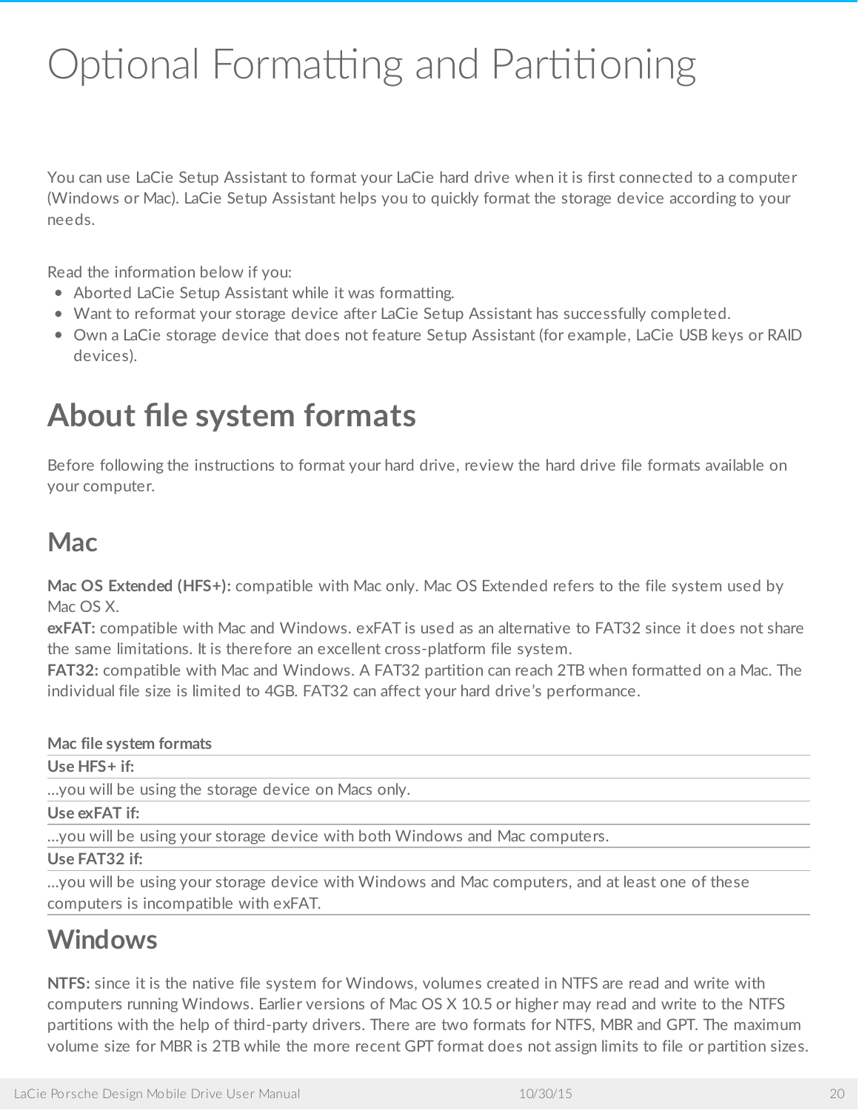# <span id="page-19-0"></span>Optional Formatting and Partitioning

You can use LaCie Setup Assistant to format your LaCie hard drive when it is first connected to a computer (Windows or Mac). LaCie Setup Assistant helps you to quickly format the storage device according to your needs.

Read the information below if you:

- Aborted LaCie Setup Assistant while it was formatting.
- Want to reformat your storage device after LaCie Setup Assistant has successfully completed.
- Own a LaCie storage device that does not feature Setup Assistant (for example, LaCie USB keys or RAID devices).

## <span id="page-19-1"></span>**About file system formats**

Before following the instructions to format your hard drive, review the hard drive file formats available on your computer.

#### <span id="page-19-2"></span>**Mac**

**Mac OS Extended (HFS+):** compatible with Mac only. Mac OS Extended refers to the file system used by Mac OS X.

**exFAT:** compatible with Mac and Windows. exFAT is used as an alternative to FAT32 since it does not share the same limitations. It is therefore an excellent cross-platform file system.

**FAT32:** compatible with Mac and Windows. A FAT32 partition can reach 2TB when formatted on a Mac. The individual file size is limited to 4GB. FAT32 can affect your hard drive's performance.

**Mac file system formats Use HFS+ if:** …you will be using the storage device on Macs only. **Use exFAT if:** …you will be using your storage device with both Windows and Mac computers. **Use FAT32 if:**

#### …you will be using your storage device with Windows and Mac computers, and at least one of these computers is incompatible with exFAT.

#### <span id="page-19-3"></span>**Windows**

**NTFS:** since it is the native file system for Windows, volumes created in NTFS are read and write with computers running Windows. Earlier versions of Mac OS X 10.5 or higher may read and write to the NTFS partitions with the help of third-party drivers. There are two formats for NTFS, MBR and GPT. The maximum volume size for MBR is 2TB while the more recent GPT format does not assign limits to file or partition sizes.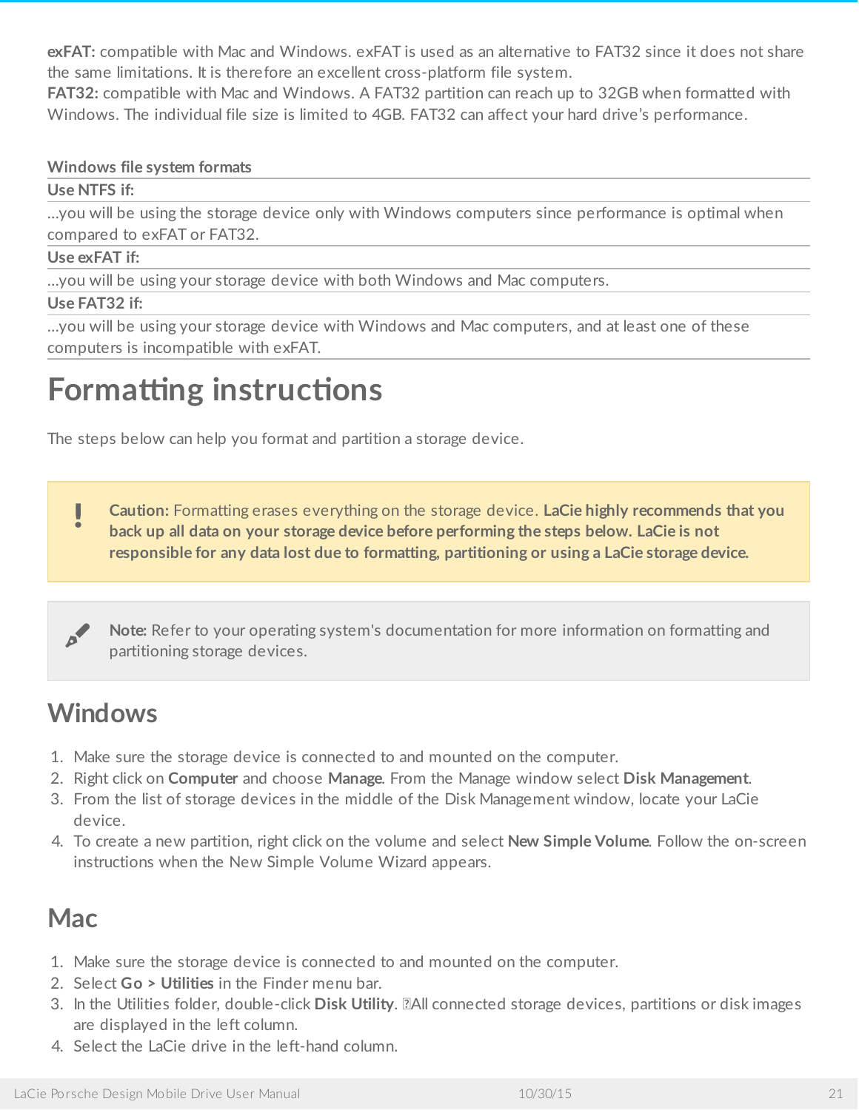**exFAT:** compatible with Mac and Windows. exFAT is used as an alternative to FAT32 since it does not share the same limitations. It is therefore an excellent cross-platform file system.

**FAT32:** compatible with Mac and Windows. A FAT32 partition can reach up to 32GB when formatted with Windows. The individual file size is limited to 4GB. FAT32 can affect your hard drive's performance.

#### **Windows file system formats**

#### **Use NTFS if:**

…you will be using the storage device only with Windows computers since performance is optimal when compared to exFAT or FAT32.

#### **Use exFAT if:**

…you will be using your storage device with both Windows and Mac computers.

#### **Use FAT32 if:**

…you will be using your storage device with Windows and Mac computers, and at least one of these computers is incompatible with exFAT.

## <span id="page-20-0"></span>**Formatting instructions**

The steps below can help you format and partition a storage device.

**Caution:** Formatting erases everything on the storage device. **LaCie highly recommends that you back up all data on your storage device before performing the steps below. LaCie is not responsible for any data lost due to formatting, partitioning or using a LaCie storage device.** U

Note: Refer to your operating system's documentation for more information on formatting and partitioning storage devices.

#### <span id="page-20-1"></span>**Windows**

- 1. Make sure the storage device is connected to and mounted on the computer.
- 2. Right click on **Computer** and choose **Manage**. From the Manage window select **Disk Management**.
- 3. From the list of storage devices in the middle of the Disk Management window, locate your LaCie device.
- 4. To create a new partition, right click on the volume and select **New Simple Volume**. Follow the on-screen instructions when the New Simple Volume Wizard appears.

#### <span id="page-20-2"></span>**Mac**

- 1. Make sure the storage device is connected to and mounted on the computer.
- 2. Select **Go > Utilities** in the Finder menu bar.
- 3. In the Utilities folder, double-click **Disk Utility**. All connected storage devices, partitions or disk images are displayed in the left column.
- 4. Select the LaCie drive in the left-hand column.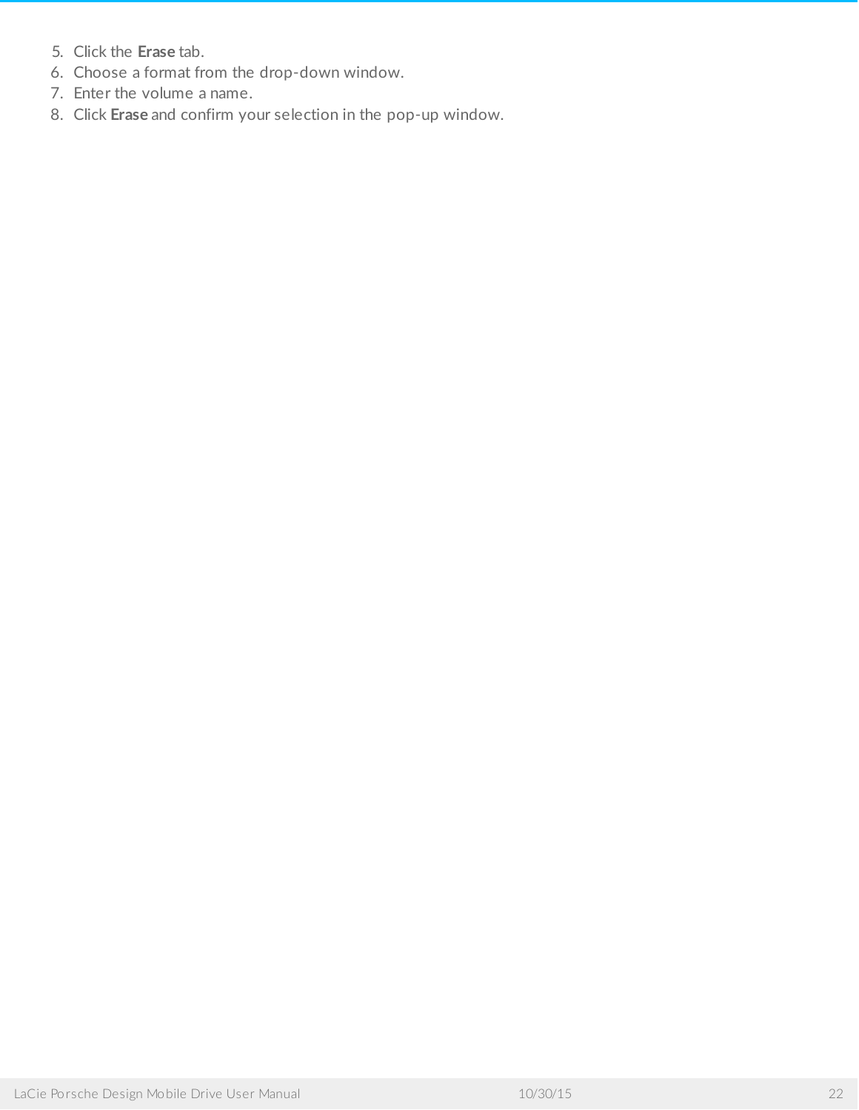- 5. Click the **Erase** tab.
- 6. Choose a format from the drop-down window.
- 7. Enter the volume a name.
- 8. Click **Erase** and confirm your selection in the pop-up window.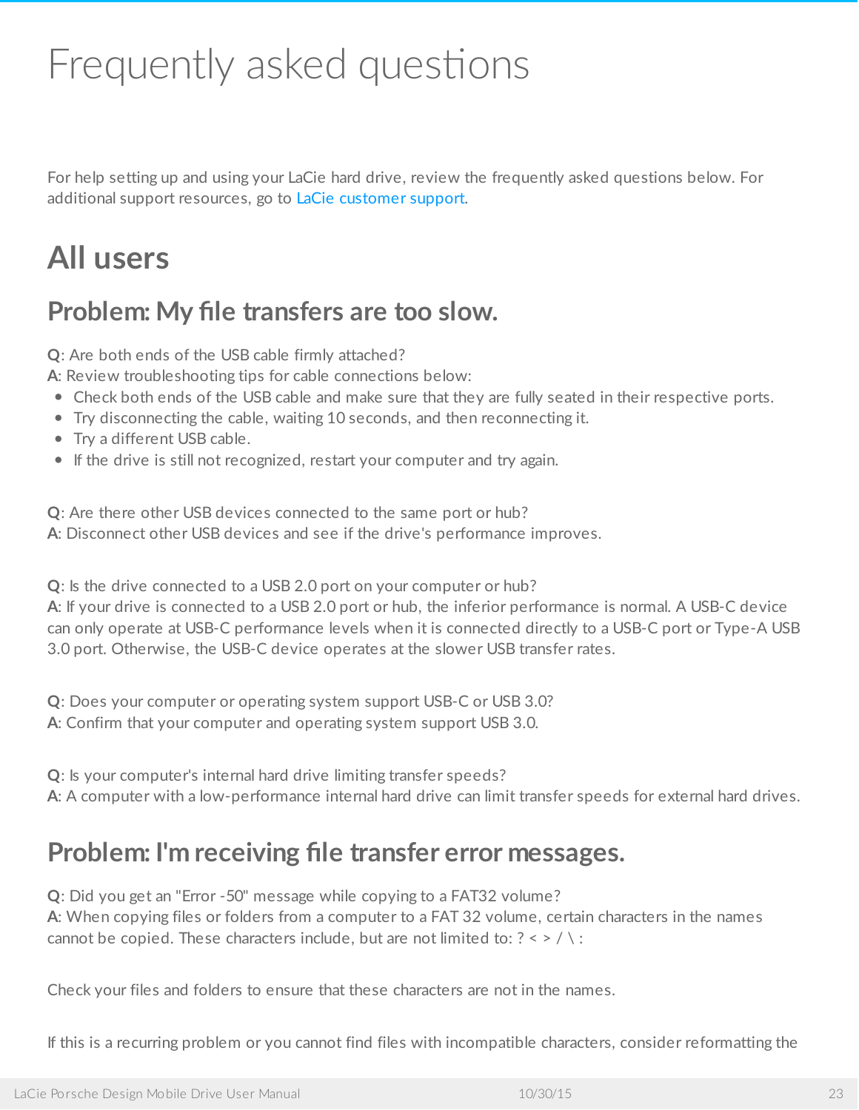# <span id="page-22-0"></span>Frequently asked questions

For help setting up and using your LaCie hard drive, review the frequently asked questions below. For additional support resources, go to LaCie [customer](http://www.lacie.com/support) support.

## <span id="page-22-1"></span>**All users**

#### <span id="page-22-2"></span>**Problem: My file transfers are too slow.**

**Q**: Are both ends of the USB cable firmly attached?

**A**: Review troubleshooting tips for cable connections below:

- Check both ends of the USB cable and make sure that they are fully seated in their respective ports.
- Try disconnecting the cable, waiting 10 seconds, and then reconnecting it.
- Try a different USB cable.
- If the drive is still not recognized, restart your computer and try again.

**Q**: Are there other USB devices connected to the same port or hub?

**A**: Disconnect other USB devices and see if the drive's performance improves.

**Q**: Is the drive connected to a USB 2.0 port on your computer or hub?

**A**: If your drive is connected to a USB 2.0 port or hub, the inferior performance is normal. A USB-C device can only operate at USB-C performance levels when it is connected directly to a USB-C port or Type-A USB 3.0 port. Otherwise, the USB-C device operates at the slower USB transfer rates.

**Q**: Does your computer or operating system support USB-C or USB 3.0? **A**: Confirm that your computer and operating system support USB 3.0.

**Q**: Is your computer's internal hard drive limiting transfer speeds?

**A**: A computer with a low-performance internal hard drive can limit transfer speeds for external hard drives.

#### <span id="page-22-3"></span>**Problem: I'm receiving file transfer error messages.**

**Q**: Did you get an "Error -50" message while copying to a FAT32 volume? **A**: When copying files or folders from a computer to a FAT 32 volume, certain characters in the names cannot be copied. These characters include, but are not limited to:  $? \leq / \$ :

Check your files and folders to ensure that these characters are not in the names.

If this is a recurring problem or you cannot find files with incompatible characters, consider reformatting the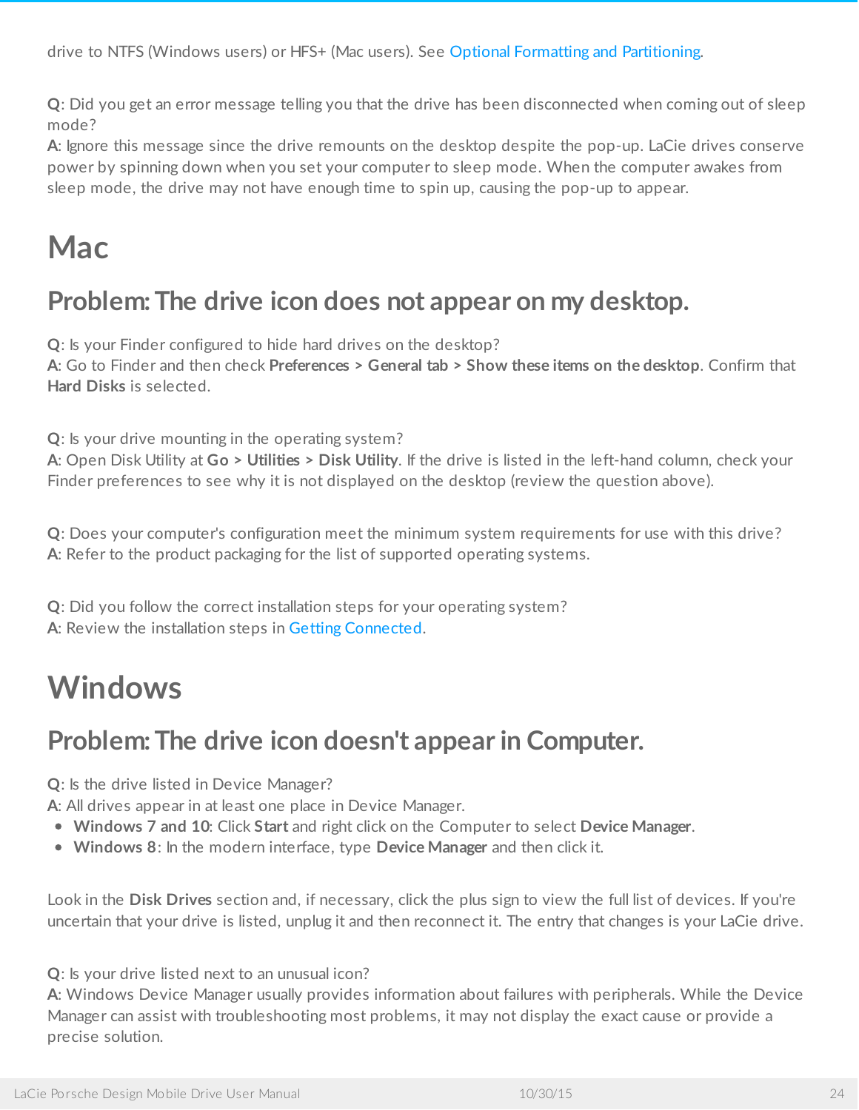**Q**: Did you get an error message telling you that the drive has been disconnected when coming out of sleep mode?

**A**: Ignore this message since the drive remounts on the desktop despite the pop-up. LaCie drives conserve power by spinning down when you set your computer to sleep mode. When the computer awakes from sleep mode, the drive may not have enough time to spin up, causing the pop-up to appear.

## <span id="page-23-0"></span>**Mac**

#### <span id="page-23-1"></span>**Problem:The drive icon does not appear on my desktop.**

**Q**: Is your Finder configured to hide hard drives on the desktop?

**A**: Go to Finder and then check **Preferences > General tab > Show these items on the desktop**. Confirm that **Hard Disks** is selected.

**Q**: Is your drive mounting in the operating system?

**A**: Open Disk Utility at **Go > Utilities > Disk Utility**. If the drive is listed in the left-hand column, check your Finder preferences to see why it is not displayed on the desktop (review the question above).

**Q**: Does your computer's configuration meet the minimum system requirements for use with this drive? **A**: Refer to the product packaging for the list of supported operating systems.

**Q**: Did you follow the correct installation steps for your operating system? **A**: Review the installation steps in Getting [Connected](http://www.lacie.com/manuals/porsche-mobile/getting-connected/).

# <span id="page-23-2"></span>**Windows**

#### <span id="page-23-3"></span>**Problem:The drive icon doesn't appear in Computer.**

**Q**: Is the drive listed in Device Manager?

**A**: All drives appear in at least one place in Device Manager.

- **Windows 7 and 10**: Click **Start** and right click on the Computer to select **Device Manager**.
- **Windows 8**: In the modern interface, type **Device Manager** and then click it.

Look in the **Disk Drives** section and, if necessary, click the plus sign to view the full list of devices. If you're uncertain that your drive is listed, unplug it and then reconnect it. The entry that changes is your LaCie drive.

**Q**: Is your drive listed next to an unusual icon?

**A**: Windows Device Manager usually provides information about failures with peripherals. While the Device Manager can assist with troubleshooting most problems, it may not display the exact cause or provide a precise solution.